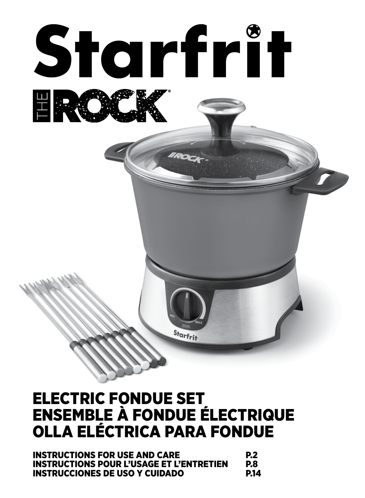

## ELECTRIC FONDUE SET ENSEMBLE À FONDUE ÉLECTRIQUE OLLA ELÉCTRICA PARA FONDUE

| <b>INSTRUCTIONS FOR USE AND CARE</b>            | <b>P.2</b> |
|-------------------------------------------------|------------|
| <b>INSTRUCTIONS POUR L'USAGE ET L'ENTRETIEN</b> | P.8        |
| INSTRUCCIONES DE USO Y CUIDADO                  | P.14       |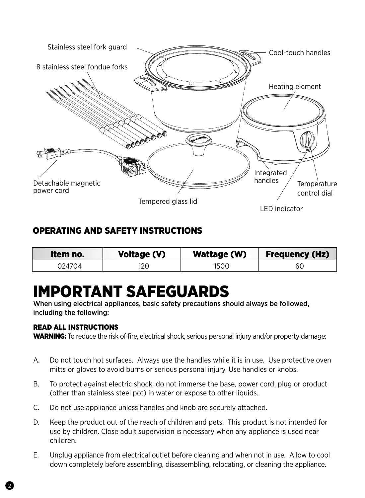

## OPERATING AND SAFETY INSTRUCTIONS

| Item no. | Voltage (V) | Wattage (W) | <b>Frequency (Hz)</b> |
|----------|-------------|-------------|-----------------------|
| 024704   | 120         | 1500        | 60                    |

# IMPORTANT SAFEGUARDS

When using electrical appliances, basic safety precautions should always be followed, including the following:

#### READ ALL INSTRUCTIONS

WARNING: To reduce the risk of fire, electrical shock, serious personal injury and/or property damage:

- A. Do not touch hot surfaces. Always use the handles while it is in use. Use protective oven mitts or gloves to avoid burns or serious personal injury. Use handles or knobs.
- B. To protect against electric shock, do not immerse the base, power cord, plug or product (other than stainless steel pot) in water or expose to other liquids.
- C. Do not use appliance unless handles and knob are securely attached.
- D. Keep the product out of the reach of children and pets. This product is not intended for use by children. Close adult supervision is necessary when any appliance is used near children.
- E. Unplug appliance from electrical outlet before cleaning and when not in use. Allow to cool down completely before assembling, disassembling, relocating, or cleaning the appliance.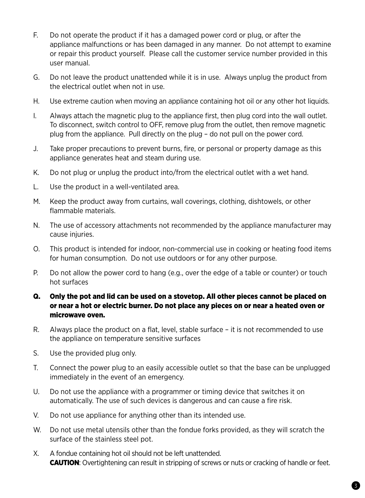- F. Do not operate the product if it has a damaged power cord or plug, or after the appliance malfunctions or has been damaged in any manner. Do not attempt to examine or repair this product yourself. Please call the customer service number provided in this user manual.
- G. Do not leave the product unattended while it is in use. Always unplug the product from the electrical outlet when not in use.
- H. Use extreme caution when moving an appliance containing hot oil or any other hot liquids.
- I. Always attach the magnetic plug to the appliance first, then plug cord into the wall outlet. To disconnect, switch control to OFF, remove plug from the outlet, then remove magnetic plug from the appliance. Pull directly on the plug – do not pull on the power cord.
- J. Take proper precautions to prevent burns, fire, or personal or property damage as this appliance generates heat and steam during use.
- K. Do not plug or unplug the product into/from the electrical outlet with a wet hand.
- L. Use the product in a well-ventilated area.
- M. Keep the product away from curtains, wall coverings, clothing, dishtowels, or other flammable materials.
- N. The use of accessory attachments not recommended by the appliance manufacturer may cause injuries.
- O. This product is intended for indoor, non-commercial use in cooking or heating food items for human consumption. Do not use outdoors or for any other purpose.
- P. Do not allow the power cord to hang (e.g., over the edge of a table or counter) or touch hot surfaces

#### Q. Only the pot and lid can be used on a stovetop. All other pieces cannot be placed on or near a hot or electric burner. Do not place any pieces on or near a heated oven or microwave oven.

- R. Always place the product on a flat, level, stable surface it is not recommended to use the appliance on temperature sensitive surfaces
- S. Use the provided plug only.
- T. Connect the power plug to an easily accessible outlet so that the base can be unplugged immediately in the event of an emergency.
- U. Do not use the appliance with a programmer or timing device that switches it on automatically. The use of such devices is dangerous and can cause a fire risk.
- V. Do not use appliance for anything other than its intended use.
- W. Do not use metal utensils other than the fondue forks provided, as they will scratch the surface of the stainless steel pot.
- X. A fondue containing hot oil should not be left unattended. **CAUTION:** Overtightening can result in stripping of screws or nuts or cracking of handle or feet.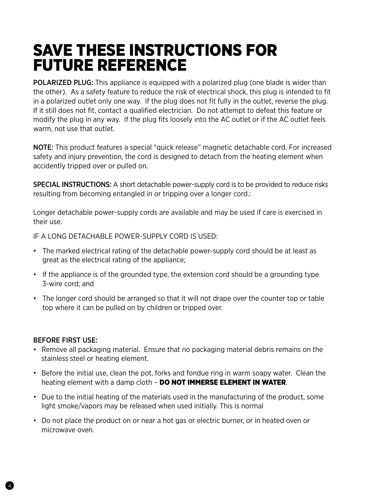## SAVE THESE INSTRUCTIONS FOR FUTURE REFERENCE

POLARIZED PLUG: This appliance is equipped with a polarized plug (one blade is wider than the other). As a safety feature to reduce the risk of electrical shock, this plug is intended to fit in a polarized outlet only one way. If the plug does not fit fully in the outlet, reverse the plug. If it still does not fit, contact a qualified electrician. Do not attempt to defeat this feature or modify the plug in any way. If the plug fits loosely into the AC outlet or if the AC outlet feels warm, not use that outlet.

NOTE: This product features a special "quick release" magnetic detachable cord. For increased safety and injury prevention, the cord is designed to detach from the heating element when accidently tripped over or pulled on.

SPECIAL INSTRUCTIONS: A short detachable power-supply cord is to be provided to reduce risks resulting from becoming entangled in or tripping over a longer cord.:

Longer detachable power-supply cords are available and may be used if care is exercised in their use.

IF A LONG DETACHABLE POWER-SUPPLY CORD IS USED:

- The marked electrical rating of the detachable power-supply cord should be at least as great as the electrical rating of the appliance;
- If the appliance is of the grounded type, the extension cord should be a grounding type 3-wire cord; and
- The longer cord should be arranged so that it will not drape over the counter top or table top where it can be pulled on by children or tripped over.

#### BEFORE FIRST USE:

4

- Remove all packaging material. Ensure that no packaging material debris remains on the stainless steel or heating element.
- Before the initial use, clean the pot, forks and fondue ring in warm soapy water. Clean the heating element with a damp cloth - DO NOT IMMERSE ELEMENT IN WATER.
- Due to the initial heating of the materials used in the manufacturing of the product, some light smoke/vapors may be released when used initially. This is normal
- Do not place the product on or near a hot gas or electric burner, or in heated oven or microwave oven.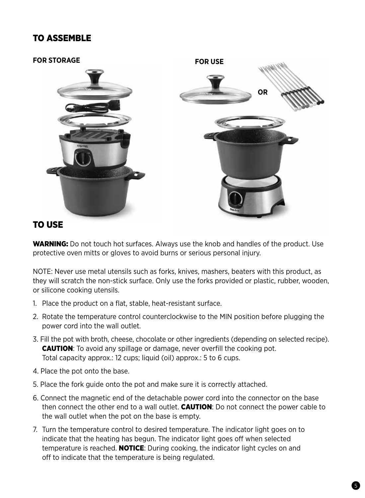## TO ASSEMBLE



### TO USE

WARNING: Do not touch hot surfaces. Always use the knob and handles of the product. Use protective oven mitts or gloves to avoid burns or serious personal injury.

NOTE: Never use metal utensils such as forks, knives, mashers, beaters with this product, as they will scratch the non-stick surface. Only use the forks provided or plastic, rubber, wooden, or silicone cooking utensils.

- 1. Place the product on a flat, stable, heat-resistant surface.
- 2. Rotate the temperature control counterclockwise to the MIN position before plugging the power cord into the wall outlet.
- 3. Fill the pot with broth, cheese, chocolate or other ingredients (depending on selected recipe). **CAUTION:** To avoid any spillage or damage, never overfill the cooking pot. Total capacity approx.: 12 cups; liquid (oil) approx.: 5 to 6 cups.
- 4. Place the pot onto the base.
- 5. Place the fork guide onto the pot and make sure it is correctly attached.
- 6. Connect the magnetic end of the detachable power cord into the connector on the base then connect the other end to a wall outlet. **CAUTION**: Do not connect the power cable to the wall outlet when the pot on the base is empty.
- 7. Turn the temperature control to desired temperature. The indicator light goes on to indicate that the heating has begun. The indicator light goes off when selected temperature is reached. **NOTICE**: During cooking, the indicator light cycles on and off to indicate that the temperature is being regulated.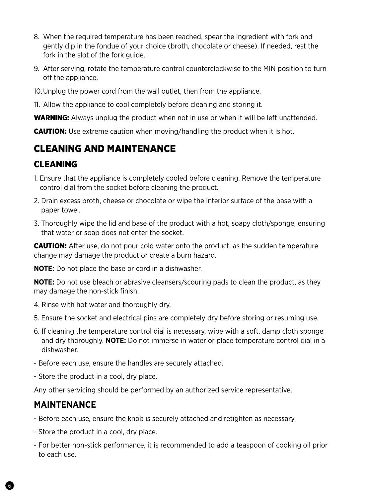- 8. When the required temperature has been reached, spear the ingredient with fork and gently dip in the fondue of your choice (broth, chocolate or cheese). If needed, rest the fork in the slot of the fork quide.
- 9. After serving, rotate the temperature control counterclockwise to the MIN position to turn off the appliance.
- 10.Unplug the power cord from the wall outlet, then from the appliance.
- 11. Allow the appliance to cool completely before cleaning and storing it.

**WARNING:** Always unplug the product when not in use or when it will be left unattended.

**CAUTION:** Use extreme caution when moving/handling the product when it is hot.

## CLEANING AND MAINTENANCE

## **CLEANING**

- 1. Ensure that the appliance is completely cooled before cleaning. Remove the temperature control dial from the socket before cleaning the product.
- 2. Drain excess broth, cheese or chocolate or wipe the interior surface of the base with a paper towel.
- 3. Thoroughly wipe the lid and base of the product with a hot, soapy cloth/sponge, ensuring that water or soap does not enter the socket.

**CAUTION:** After use, do not pour cold water onto the product, as the sudden temperature change may damage the product or create a burn hazard.

**NOTE:** Do not place the base or cord in a dishwasher.

**NOTE:** Do not use bleach or abrasive cleansers/scouring pads to clean the product, as they may damage the non-stick finish.

- 4. Rinse with hot water and thoroughly dry.
- 5. Ensure the socket and electrical pins are completely dry before storing or resuming use.
- 6. If cleaning the temperature control dial is necessary, wipe with a soft, damp cloth sponge and dry thoroughly. **NOTE:** Do not immerse in water or place temperature control dial in a dishwasher.
- Before each use, ensure the handles are securely attached.
- Store the product in a cool, dry place.

Any other servicing should be performed by an authorized service representative.

## **MAINTENANCE**

- Before each use, ensure the knob is securely attached and retighten as necessary.
- Store the product in a cool, dry place.
- For better non-stick performance, it is recommended to add a teaspoon of cooking oil prior to each use.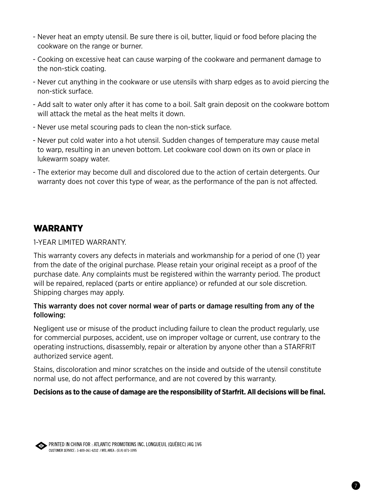- Never heat an empty utensil. Be sure there is oil, butter, liquid or food before placing the cookware on the range or burner.
- Cooking on excessive heat can cause warping of the cookware and permanent damage to the non-stick coating.
- Never cut anything in the cookware or use utensils with sharp edges as to avoid piercing the non-stick surface.
- Add salt to water only after it has come to a boil. Salt grain deposit on the cookware bottom will attack the metal as the heat melts it down.
- Never use metal scouring pads to clean the non-stick surface.
- Never put cold water into a hot utensil. Sudden changes of temperature may cause metal to warp, resulting in an uneven bottom. Let cookware cool down on its own or place in lukewarm soapy water.
- The exterior may become dull and discolored due to the action of certain detergents. Our warranty does not cover this type of wear, as the performance of the pan is not affected.

## WARRANTY

1-YEAR LIMITED WARRANTY.

This warranty covers any defects in materials and workmanship for a period of one (1) year from the date of the original purchase. Please retain your original receipt as a proof of the purchase date. Any complaints must be registered within the warranty period. The product will be repaired, replaced (parts or entire appliance) or refunded at our sole discretion. Shipping charges may apply.

#### This warranty does not cover normal wear of parts or damage resulting from any of the following:

Negligent use or misuse of the product including failure to clean the product regularly, use for commercial purposes, accident, use on improper voltage or current, use contrary to the operating instructions, disassembly, repair or alteration by anyone other than a STARFRIT authorized service agent.

Stains, discoloration and minor scratches on the inside and outside of the utensil constitute normal use, do not affect performance, and are not covered by this warranty.

#### **Decisions as to the cause of damage are the responsibility of Starfrit. All decisions will be final.**



PRINTED IN CHINA FOR : ATLANTIC PROMOTIONS INC. LONGUEUIL (QUÉBEC) J4G 1V6 CUSTOMER SERVICE : 1-800-361-6232 / MTL AREA : (514) 871-1095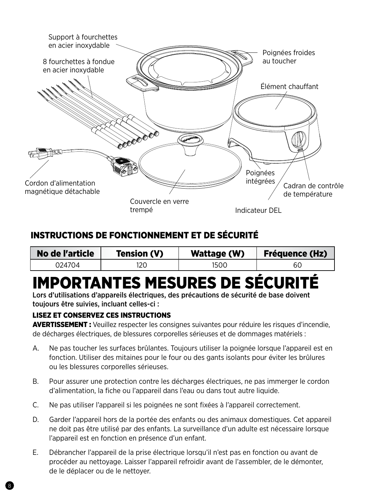

## INSTRUCTIONS DE FONCTIONNEMENT ET DE SÉCURITÉ

| No de l'article | Tension (V) | Wattage (W) | <b>Fréquence (Hz)</b> |
|-----------------|-------------|-------------|-----------------------|
| 024704          |             | 1500        | 60                    |

# IMPORTANTES MESURES DE SÉCURITÉ

Lors d'utilisations d'appareils électriques, des précautions de sécurité de base doivent toujours être suivies, incluant celles-ci :

#### LISEZ ET CONSERVEZ CES INSTRUCTIONS

AVERTISSEMENT : Veuillez respecter les consignes suivantes pour réduire les risques d'incendie, de décharges électriques, de blessures corporelles sérieuses et de dommages matériels :

- A. Ne pas toucher les surfaces brûlantes. Toujours utiliser la poignée lorsque l'appareil est en fonction. Utiliser des mitaines pour le four ou des gants isolants pour éviter les brûlures ou les blessures corporelles sérieuses.
- B. Pour assurer une protection contre les décharges électriques, ne pas immerger le cordon d'alimentation, la fiche ou l'appareil dans l'eau ou dans tout autre liquide.
- C. Ne pas utiliser l'appareil si les poignées ne sont fixées à l'appareil correctement.
- D. Garder l'appareil hors de la portée des enfants ou des animaux domestiques. Cet appareil ne doit pas être utilisé par des enfants. La surveillance d'un adulte est nécessaire lorsque l'appareil est en fonction en présence d'un enfant.
- E. Débrancher l'appareil de la prise électrique lorsqu'il n'est pas en fonction ou avant de procéder au nettoyage. Laisser l'appareil refroidir avant de l'assembler, de le démonter, de le déplacer ou de le nettoyer.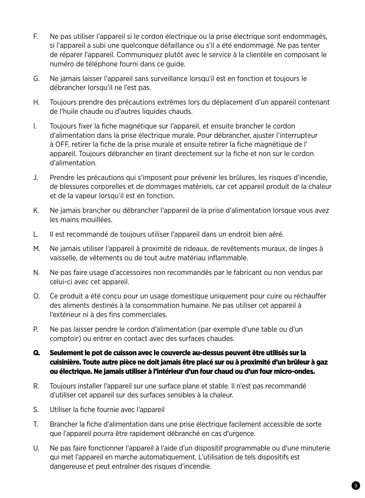- F. Ne pas utiliser l'appareil si le cordon électrique ou la prise électrique sont endommagés, si l'appareil a subi une quelconque défaillance ou s'il a été endommagé. Ne pas tenter de réparer l'appareil. Communiquez plutôt avec le service à la clientèle en composant le numéro de téléphone fourni dans ce guide.
- G. Ne jamais laisser l'appareil sans surveillance lorsqu'il est en fonction et toujours le débrancher lorsqu'il ne l'est pas.
- H. Toujours prendre des précautions extrêmes lors du déplacement d'un appareil contenant de l'huile chaude ou d'autres liquides chauds.
- I. Toujours fixer la fiche magnétique sur l'appareil, et ensuite brancher le cordon d'alimentation dans la prise électrique murale. Pour débrancher, ajuster l'interrupteur à OFF, retirer la fiche de la prise murale et ensuite retirer la fiche magnétique de l' appareil. Toujours débrancher en tirant directement sur la fiche et non sur le cordon d'alimentation.
- J. Prendre les précautions qui s'imposent pour prévenir les brûlures, les risques d'incendie, de blessures corporelles et de dommages matériels, car cet appareil produit de la chaleur et de la vapeur lorsqu'il est en fonction.
- K. Ne jamais brancher ou débrancher l'appareil de la prise d'alimentation lorsque vous avez les mains mouillées.
- L. Il est recommandé de toujours utiliser l'appareil dans un endroit bien aéré.
- M. Ne jamais utiliser l'appareil à proximité de rideaux, de revêtements muraux, de linges à vaisselle, de vêtements ou de tout autre matériau inflammable.
- N. Ne pas faire usage d'accessoires non recommandés par le fabricant ou non vendus par celui-ci avec cet appareil.
- O. Ce produit a été conçu pour un usage domestique uniquement pour cuire ou réchauffer des aliments destinés à la consommation humaine. Ne pas utiliser cet appareil à l'extérieur ni à des fins commerciales.
- P. Ne pas laisser pendre le cordon d'alimentation (par exemple d'une table ou d'un comptoir) ou entrer en contact avec des surfaces chaudes.
- Q. Seulement le pot de cuisson avec le couvercle au-dessus peuvent être utilisés sur la cuisinière. Toute autre pièce ne doit jamais être placé sur ou à proximité d'un brûleur à gaz ou électrique. Ne jamais utiliser à l'intérieur d'un four chaud ou d'un four micro-ondes.
- R. Toujours installer l'appareil sur une surface plane et stable. Il n'est pas recommandé d'utiliser cet appareil sur des surfaces sensibles à la chaleur.
- S. Utiliser la fiche fournie avec l'appareil
- T. Brancher la fiche d'alimentation dans une prise électrique facilement accessible de sorte que l'appareil pourra être rapidement débranché en cas d'urgence.
- U. Ne pas faire fonctionner l'appareil à l'aide d'un dispositif programmable ou d'une minuterie qui met l'appareil en marche automatiquement. L'utilisation de tels dispositifs est dangereuse et peut entraîner des risques d'incendie.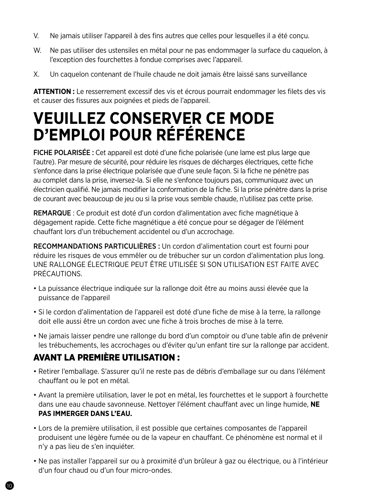- V. Ne jamais utiliser l'appareil à des fins autres que celles pour lesquelles il a été conçu.
- W. Ne pas utiliser des ustensiles en métal pour ne pas endommager la surface du caquelon, à l'exception des fourchettes à fondue comprises avec l'appareil.
- X. Un caquelon contenant de l'huile chaude ne doit jamais être laissé sans surveillance

**ATTENTION :** Le resserrement excessif des vis et écrous pourrait endommager les filets des vis et causer des fissures aux poignées et pieds de l'appareil.

## **VEUILLEZ CONSERVER CE MODE D'EMPLOI POUR RÉFÉRENCE**

FICHE POLARISÉE : Cet appareil est doté d'une fiche polarisée (une lame est plus large que l'autre). Par mesure de sécurité, pour réduire les risques de décharges électriques, cette fiche s'enfonce dans la prise électrique polarisée que d'une seule façon. Si la fiche ne pénètre pas au complet dans la prise, inversez-la. Si elle ne s'enfonce toujours pas, communiquez avec un électricien qualifié. Ne jamais modifier la conformation de la fiche. Si la prise pénètre dans la prise de courant avec beaucoup de jeu ou si la prise vous semble chaude, n'utilisez pas cette prise.

REMARQUE : Ce produit est doté d'un cordon d'alimentation avec fiche magnétique à dégagement rapide. Cette fiche magnétique a été conçue pour se dégager de l'élément chauffant lors d'un trébuchement accidentel ou d'un accrochage.

RECOMMANDATIONS PARTICULIÈRES : Un cordon d'alimentation court est fourni pour réduire les risques de vous emmêler ou de trébucher sur un cordon d'alimentation plus long. UNE RALLONGE ÉLECTRIQUE PEUT ÊTRE UTILISÉE SI SON UTILISATION EST FAITE AVEC PRÉCAUTIONS.

- La puissance électrique indiquée sur la rallonge doit être au moins aussi élevée que la puissance de l'appareil
- Si le cordon d'alimentation de l'appareil est doté d'une fiche de mise à la terre, la rallonge doit elle aussi être un cordon avec une fiche à trois broches de mise à la terre.
- Ne jamais laisser pendre une rallonge du bord d'un comptoir ou d'une table afin de prévenir les trébuchements, les accrochages ou d'éviter qu'un enfant tire sur la rallonge par accident.

## AVANT LA PREMIÈRE UTILISATION :

- Retirer l'emballage. S'assurer qu'il ne reste pas de débris d'emballage sur ou dans l'élément chauffant ou le pot en métal.
- Avant la première utilisation, laver le pot en métal, les fourchettes et le support à fourchette dans une eau chaude savonneuse. Nettoyer l'élément chauffant avec un linge humide, **NE PAS IMMERGER DANS L'EAU.**
- Lors de la première utilisation, il est possible que certaines composantes de l'appareil produisent une légère fumée ou de la vapeur en chauffant. Ce phénomène est normal et il n'y a pas lieu de s'en inquiéter.
- Ne pas installer l'appareil sur ou à proximité d'un brûleur à gaz ou électrique, ou à l'intérieur d'un four chaud ou d'un four micro-ondes.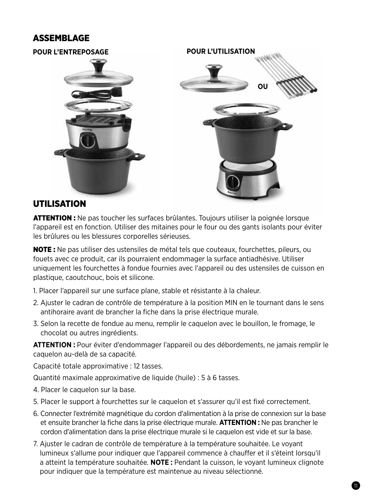## ASSEMBLAGE



### UTILISATION

ATTENTION : Ne pas toucher les surfaces brûlantes. Toujours utiliser la poignée lorsque l'appareil est en fonction. Utiliser des mitaines pour le four ou des gants isolants pour éviter les brûlures ou les blessures corporelles sérieuses.

NOTE : Ne pas utiliser des ustensiles de métal tels que couteaux, fourchettes, pileurs, ou fouets avec ce produit, car ils pourraient endommager la surface antiadhésive. Utiliser uniquement les fourchettes à fondue fournies avec l'appareil ou des ustensiles de cuisson en plastique, caoutchouc, bois et silicone.

- 1. Placer l'appareil sur une surface plane, stable et résistante à la chaleur.
- 2. Ajuster le cadran de contrôle de température à la position MIN en le tournant dans le sens antihoraire avant de brancher la fiche dans la prise électrique murale.
- 3. Selon la recette de fondue au menu, remplir le caquelon avec le bouillon, le fromage, le chocolat ou autres ingrédients.

**ATTENTION :** Pour éviter d'endommager l'appareil ou des débordements, ne jamais remplir le caquelon au-delà de sa capacité.

Capacité totale approximative : 12 tasses.

Quantité maximale approximative de liquide (huile) : 5 à 6 tasses.

- 4. Placer le caquelon sur la base.
- 5. Placer le support à fourchettes sur le caquelon et s'assurer qu'il est fixé correctement.
- 6. Connecter l'extrémité magnétique du cordon d'alimentation à la prise de connexion sur la base et ensuite brancher la fiche dans la prise électrique murale. **ATTENTION :** Ne pas brancher le cordon d'alimentation dans la prise électrique murale si le caquelon est vide et sur la base.
- 7. Ajuster le cadran de contrôle de température à la température souhaitée. Le voyant lumineux s'allume pour indiquer que l'appareil commence à chauffer et il s'éteint lorsqu'il a atteint la température souhaitée. **NOTE :** Pendant la cuisson, le voyant lumineux clignote pour indiquer que la température est maintenue au niveau sélectionné.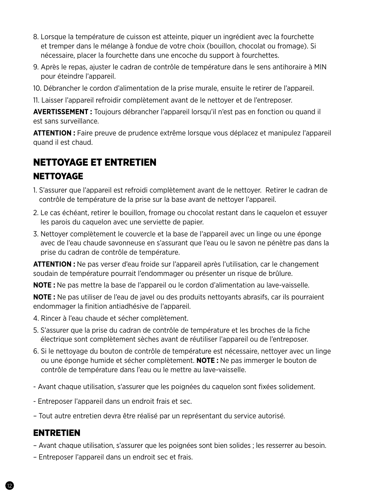- 8. Lorsque la température de cuisson est atteinte, piquer un ingrédient avec la fourchette et tremper dans le mélange à fondue de votre choix (bouillon, chocolat ou fromage). Si nécessaire, placer la fourchette dans une encoche du support à fourchettes.
- 9. Après le repas, ajuster le cadran de contrôle de température dans le sens antihoraire à MIN pour éteindre l'appareil.
- 10. Débrancher le cordon d'alimentation de la prise murale, ensuite le retirer de l'appareil.
- 11. Laisser l'appareil refroidir complètement avant de le nettoyer et de l'entreposer.

**AVERTISSEMENT :** Toujours débrancher l'appareil lorsqu'il n'est pas en fonction ou quand il est sans surveillance.

**ATTENTION :** Faire preuve de prudence extrême lorsque vous déplacez et manipulez l'appareil quand il est chaud.

# NETTOYAGE ET ENTRETIEN

- **NETTOYAGE**
- 1. S'assurer que l'appareil est refroidi complètement avant de le nettoyer. Retirer le cadran de contrôle de température de la prise sur la base avant de nettoyer l'appareil.
- 2. Le cas échéant, retirer le bouillon, fromage ou chocolat restant dans le caquelon et essuyer les parois du caquelon avec une serviette de papier.
- 3. Nettoyer complètement le couvercle et la base de l'appareil avec un linge ou une éponge avec de l'eau chaude savonneuse en s'assurant que l'eau ou le savon ne pénètre pas dans la prise du cadran de contrôle de température.

**ATTENTION :** Ne pas verser d'eau froide sur l'appareil après l'utilisation, car le changement soudain de température pourrait l'endommager ou présenter un risque de brûlure.

**NOTE :** Ne pas mettre la base de l'appareil ou le cordon d'alimentation au lave-vaisselle.

**NOTE :** Ne pas utiliser de l'eau de javel ou des produits nettoyants abrasifs, car ils pourraient endommager la finition antiadhésive de l'appareil.

- 4. Rincer à l'eau chaude et sécher complètement.
- 5. S'assurer que la prise du cadran de contrôle de température et les broches de la fiche électrique sont complètement sèches avant de réutiliser l'appareil ou de l'entreposer.
- 6. Si le nettoyage du bouton de contrôle de température est nécessaire, nettoyer avec un linge ou une éponge humide et sécher complètement. **NOTE :** Ne pas immerger le bouton de contrôle de température dans l'eau ou le mettre au lave-vaisselle.
- Avant chaque utilisation, s'assurer que les poignées du caquelon sont fixées solidement.
- Entreposer l'appareil dans un endroit frais et sec.
- Tout autre entretien devra être réalisé par un représentant du service autorisé.

### **ENTRETIEN**

- Avant chaque utilisation, s'assurer que les poignées sont bien solides ; les resserrer au besoin.
- Entreposer l'appareil dans un endroit sec et frais.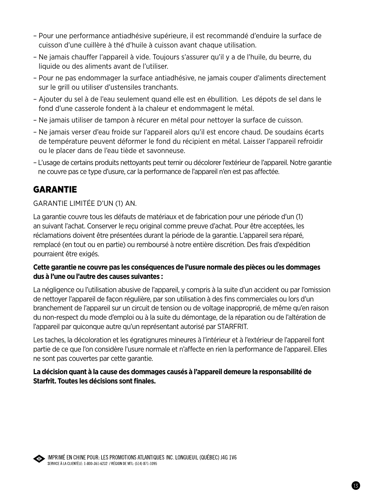- Pour une performance antiadhésive supérieure, il est recommandé d'enduire la surface de cuisson d'une cuillère à thé d'huile à cuisson avant chaque utilisation.
- Ne jamais chauffer l'appareil à vide. Toujours s'assurer qu'il y a de l'huile, du beurre, du liquide ou des aliments avant de l'utiliser.
- Pour ne pas endommager la surface antiadhésive, ne jamais couper d'aliments directement sur le grill ou utiliser d'ustensiles tranchants.
- Ajouter du sel à de l'eau seulement quand elle est en ébullition. Les dépots de sel dans le fond d'une casserole fondent à la chaleur et endommagent le métal.
- Ne jamais utiliser de tampon à récurer en métal pour nettoyer la surface de cuisson.
- Ne jamais verser d'eau froide sur l'appareil alors qu'il est encore chaud. De soudains écarts de température peuvent déformer le fond du récipient en métal. Laisser l'appareil refroidir ou le placer dans de l'eau tiède et savonneuse.
- L'usage de certains produits nettoyants peut ternir ou décolorer l'extérieur de l'appareil. Notre garantie ne couvre pas ce type d'usure, car la performance de l'appareil n'en est pas affectée.

## GARANTIE

#### GARANTIE LIMITÉE D'UN (1) AN.

La garantie couvre tous les défauts de matériaux et de fabrication pour une période d'un (1) an suivant l'achat. Conserver le reçu original comme preuve d'achat. Pour être acceptées, les réclamations doivent être présentées durant la période de la garantie. L'appareil sera réparé, remplacé (en tout ou en partie) ou remboursé à notre entière discrétion. Des frais d'expédition pourraient être exigés.

#### **Cette garantie ne couvre pas les conséquences de l'usure normale des pièces ou les dommages dus à l'une ou l'autre des causes suivantes :**

La négligence ou l'utilisation abusive de l'appareil, y compris à la suite d'un accident ou par l'omission de nettoyer l'appareil de façon régulière, par son utilisation à des fins commerciales ou lors d'un branchement de l'appareil sur un circuit de tension ou de voltage inapproprié, de même qu'en raison du non-respect du mode d'emploi ou à la suite du démontage, de la réparation ou de l'altération de l'appareil par quiconque autre qu'un représentant autorisé par STARFRIT.

Les taches, la décoloration et les égratignures mineures à l'intérieur et à l'extérieur de l'appareil font partie de ce que l'on considère l'usure normale et n'affecte en rien la performance de l'appareil. Elles ne sont pas couvertes par cette garantie.

#### **La décision quant à la cause des dommages causés à l'appareil demeure la responsabilité de Starfrit. Toutes les décisions sont finales.**



IMPRIMÉ EN CHINE POUR: LES PROMOTIONS ATLANTIQUES INC. LONGUEUIL (QUÉBEC) J4G 1V6 SERVICE À LA CLIENTÈLE: 1-800-361-6232 / RÉGION DE MTL: (514) 871-1095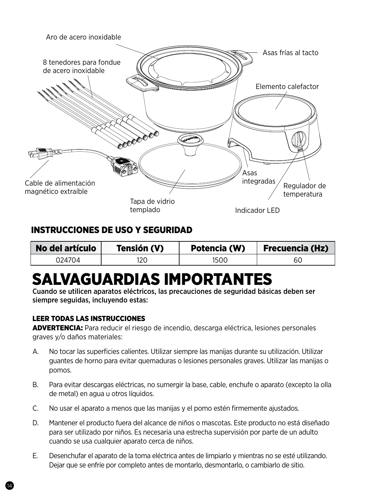

## INSTRUCCIONES DE USO Y SEGURIDAD

| No del artículo | Tensión (V) | Potencia (W) | <b>Frecuencia (Hz)</b> |
|-----------------|-------------|--------------|------------------------|
| 024704          |             | 1500         | 60                     |

# SALVAGUARDIAS IMPORTANTES

Cuando se utilicen aparatos eléctricos, las precauciones de seguridad básicas deben ser siempre seguidas, incluyendo estas:

#### LEER TODAS LAS INSTRUCCIONES

ADVERTENCIA: Para reducir el riesgo de incendio, descarga eléctrica, lesiones personales graves y/o daños materiales:

- A. No tocar las superficies calientes. Utilizar siempre las manijas durante su utilización. Utilizar guantes de horno para evitar quemaduras o lesiones personales graves. Utilizar las manijas o pomos.
- B. Para evitar descargas eléctricas, no sumergir la base, cable, enchufe o aparato (excepto la olla de metal) en agua u otros líquidos.
- C. No usar el aparato a menos que las manijas y el pomo estén firmemente ajustados.
- D. Mantener el producto fuera del alcance de niños o mascotas. Este producto no está diseñado para ser utilizado por niños. Es necesaria una estrecha supervisión por parte de un adulto cuando se usa cualquier aparato cerca de niños.
- E. Desenchufar el aparato de la toma eléctrica antes de limpiarlo y mientras no se esté utilizando. Dejar que se enfríe por completo antes de montarlo, desmontarlo, o cambiarlo de sitio.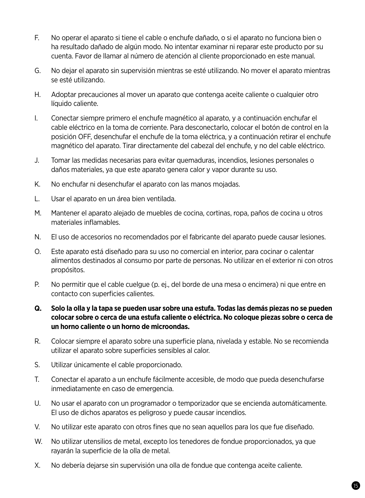- F. No operar el aparato si tiene el cable o enchufe dañado, o si el aparato no funciona bien o ha resultado dañado de algún modo. No intentar examinar ni reparar este producto por su cuenta. Favor de llamar al número de atención al cliente proporcionado en este manual.
- G. No dejar el aparato sin supervisión mientras se esté utilizando. No mover el aparato mientras se esté utilizando.
- H. Adoptar precauciones al mover un aparato que contenga aceite caliente o cualquier otro líquido caliente.
- I. Conectar siempre primero el enchufe magnético al aparato, y a continuación enchufar el cable eléctrico en la toma de corriente. Para desconectarlo, colocar el botón de control en la posición OFF, desenchufar el enchufe de la toma eléctrica, y a continuación retirar el enchufe magnético del aparato. Tirar directamente del cabezal del enchufe, y no del cable eléctrico.
- J. Tomar las medidas necesarias para evitar quemaduras, incendios, lesiones personales o daños materiales, ya que este aparato genera calor y vapor durante su uso.
- K. No enchufar ni desenchufar el aparato con las manos mojadas.
- L. Usar el aparato en un área bien ventilada.
- M. Mantener el aparato alejado de muebles de cocina, cortinas, ropa, paños de cocina u otros materiales inflamables.
- N. El uso de accesorios no recomendados por el fabricante del aparato puede causar lesiones.
- O. Este aparato está diseñado para su uso no comercial en interior, para cocinar o calentar alimentos destinados al consumo por parte de personas. No utilizar en el exterior ni con otros propósitos.
- P. No permitir que el cable cuelgue (p. ej., del borde de una mesa o encimera) ni que entre en contacto con superficies calientes.
- **Q. Solo la olla y la tapa se pueden usar sobre una estufa. Todas las demás piezas no se pueden colocar sobre o cerca de una estufa caliente o eléctrica. No coloque piezas sobre o cerca de un horno caliente o un horno de microondas.**
- R. Colocar siempre el aparato sobre una superficie plana, nivelada y estable. No se recomienda utilizar el aparato sobre superficies sensibles al calor.
- S. Utilizar únicamente el cable proporcionado.
- T. Conectar el aparato a un enchufe fácilmente accesible, de modo que pueda desenchufarse inmediatamente en caso de emergencia.
- U. No usar el aparato con un programador o temporizador que se encienda automáticamente. El uso de dichos aparatos es peligroso y puede causar incendios.
- V. No utilizar este aparato con otros fines que no sean aquellos para los que fue diseñado.
- W. No utilizar utensilios de metal, excepto los tenedores de fondue proporcionados, ya que rayarán la superficie de la olla de metal.
- X. No debería dejarse sin supervisión una olla de fondue que contenga aceite caliente.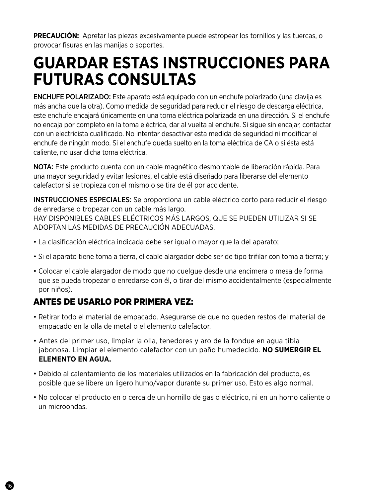**PRECAUCIÓN:** Apretar las piezas excesivamente puede estropear los tornillos y las tuercas, o provocar fisuras en las manijas o soportes.

## **GUARDAR ESTAS INSTRUCCIONES PARA FUTURAS CONSULTAS**

ENCHUFE POLARIZADO: Este aparato está equipado con un enchufe polarizado (una clavija es más ancha que la otra). Como medida de seguridad para reducir el riesgo de descarga eléctrica, este enchufe encajará únicamente en una toma eléctrica polarizada en una dirección. Si el enchufe no encaja por completo en la toma eléctrica, dar al vuelta al enchufe. Si sigue sin encajar, contactar con un electricista cualificado. No intentar desactivar esta medida de seguridad ni modificar el enchufe de ningún modo. Si el enchufe queda suelto en la toma eléctrica de CA o si ésta está caliente, no usar dicha toma eléctrica.

NOTA: Este producto cuenta con un cable magnético desmontable de liberación rápida. Para una mayor seguridad y evitar lesiones, el cable está diseñado para liberarse del elemento calefactor si se tropieza con el mismo o se tira de él por accidente.

INSTRUCCIONES ESPECIALES: Se proporciona un cable eléctrico corto para reducir el riesgo de enredarse o tropezar con un cable más largo. HAY DISPONIBLES CABLES ELÉCTRICOS MÁS LARGOS, QUE SE PUEDEN UTILIZAR SI SE ADOPTAN LAS MEDIDAS DE PRECAUCIÓN ADECUADAS.

- La clasificación eléctrica indicada debe ser igual o mayor que la del aparato;
- Si el aparato tiene toma a tierra, el cable alargador debe ser de tipo trifilar con toma a tierra; y
- Colocar el cable alargador de modo que no cuelgue desde una encimera o mesa de forma que se pueda tropezar o enredarse con él, o tirar del mismo accidentalmente (especialmente por niños).

## ANTES DE USARLO POR PRIMERA VEZ:

- Retirar todo el material de empacado. Asegurarse de que no queden restos del material de empacado en la olla de metal o el elemento calefactor.
- Antes del primer uso, limpiar la olla, tenedores y aro de la fondue en agua tibia jabonosa. Limpiar el elemento calefactor con un paño humedecido. **NO SUMERGIR EL ELEMENTO EN AGUA.**
- Debido al calentamiento de los materiales utilizados en la fabricación del producto, es posible que se libere un ligero humo/vapor durante su primer uso. Esto es algo normal.
- No colocar el producto en o cerca de un hornillo de gas o eléctrico, ni en un horno caliente o un microondas.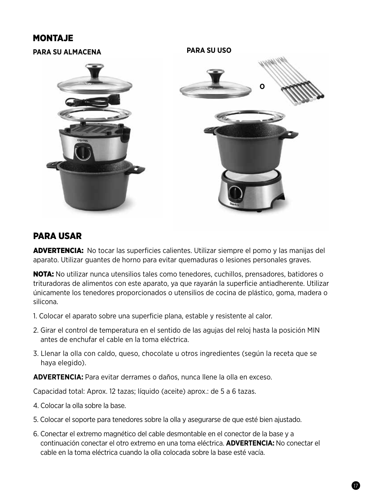### MONTAJE



### PARA USAR

ADVERTENCIA: No tocar las superficies calientes. Utilizar siempre el pomo y las manijas del aparato. Utilizar guantes de horno para evitar quemaduras o lesiones personales graves.

NOTA: No utilizar nunca utensilios tales como tenedores, cuchillos, prensadores, batidores o trituradoras de alimentos con este aparato, ya que rayarán la superficie antiadherente. Utilizar únicamente los tenedores proporcionados o utensilios de cocina de plástico, goma, madera o silicona.

- 1. Colocar el aparato sobre una superficie plana, estable y resistente al calor.
- 2. Girar el control de temperatura en el sentido de las agujas del reloj hasta la posición MIN antes de enchufar el cable en la toma eléctrica.
- 3. Llenar la olla con caldo, queso, chocolate u otros ingredientes (según la receta que se haya elegido).

**ADVERTENCIA:** Para evitar derrames o daños, nunca llene la olla en exceso.

Capacidad total: Aprox. 12 tazas; líquido (aceite) aprox.: de 5 a 6 tazas.

- 4. Colocar la olla sobre la base.
- 5. Colocar el soporte para tenedores sobre la olla y asegurarse de que esté bien ajustado.
- 6. Conectar el extremo magnético del cable desmontable en el conector de la base y a continuación conectar el otro extremo en una toma eléctrica. **ADVERTENCIA:** No conectar el cable en la toma eléctrica cuando la olla colocada sobre la base esté vacía.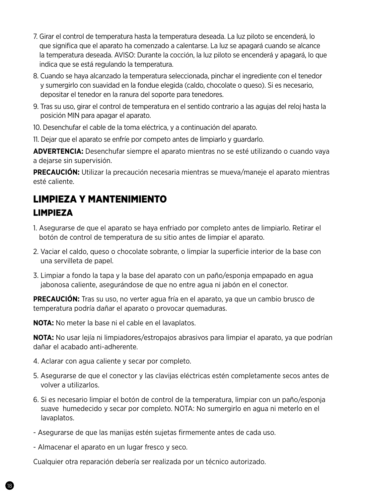- 7. Girar el control de temperatura hasta la temperatura deseada. La luz piloto se encenderá, lo que significa que el aparato ha comenzado a calentarse. La luz se apagará cuando se alcance la temperatura deseada. AVISO: Durante la cocción, la luz piloto se encenderá y apagará, lo que indica que se está regulando la temperatura.
- 8. Cuando se haya alcanzado la temperatura seleccionada, pinchar el ingrediente con el tenedor y sumergirlo con suavidad en la fondue elegida (caldo, chocolate o queso). Si es necesario, depositar el tenedor en la ranura del soporte para tenedores.
- 9. Tras su uso, girar el control de temperatura en el sentido contrario a las agujas del reloj hasta la posición MIN para apagar el aparato.
- 10. Desenchufar el cable de la toma eléctrica, y a continuación del aparato.
- 11. Dejar que el aparato se enfríe por competo antes de limpiarlo y guardarlo.

**ADVERTENCIA:** Desenchufar siempre el aparato mientras no se esté utilizando o cuando vaya a dejarse sin supervisión.

**PRECAUCIÓN:** Utilizar la precaución necesaria mientras se mueva/maneje el aparato mientras esté caliente.

## LIMPIEZA Y MANTENIMIENTO LIMPIEZA

- 1. Asegurarse de que el aparato se haya enfriado por completo antes de limpiarlo. Retirar el botón de control de temperatura de su sitio antes de limpiar el aparato.
- 2. Vaciar el caldo, queso o chocolate sobrante, o limpiar la superficie interior de la base con una servilleta de papel.
- 3. Limpiar a fondo la tapa y la base del aparato con un paño/esponja empapado en agua jabonosa caliente, asegurándose de que no entre agua ni jabón en el conector.

**PRECAUCIÓN:** Tras su uso, no verter agua fría en el aparato, ya que un cambio brusco de temperatura podría dañar el aparato o provocar quemaduras.

**NOTA:** No meter la base ni el cable en el lavaplatos.

**NOTA:** No usar lejía ni limpiadores/estropajos abrasivos para limpiar el aparato, ya que podrían dañar el acabado anti-adherente.

- 4. Aclarar con agua caliente y secar por completo.
- 5. Asegurarse de que el conector y las clavijas eléctricas estén completamente secos antes de volver a utilizarlos.
- 6. Si es necesario limpiar el botón de control de la temperatura, limpiar con un paño/esponja suave humedecido y secar por completo. NOTA: No sumergirlo en agua ni meterlo en el lavaplatos.
- Asegurarse de que las manijas estén sujetas firmemente antes de cada uso.
- Almacenar el aparato en un lugar fresco y seco.

Cualquier otra reparación debería ser realizada por un técnico autorizado.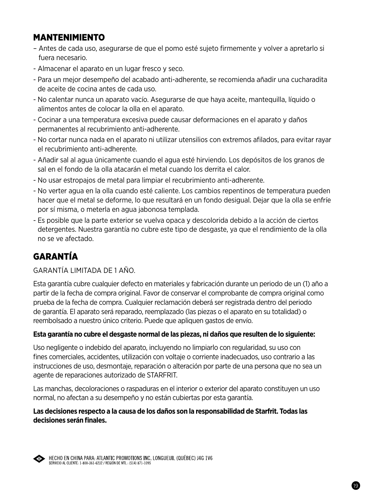### MANTENIMIENTO

- Antes de cada uso, asegurarse de que el pomo esté sujeto firmemente y volver a apretarlo si fuera necesario.
- Almacenar el aparato en un lugar fresco y seco.
- Para un mejor desempeño del acabado anti-adherente, se recomienda añadir una cucharadita de aceite de cocina antes de cada uso.
- No calentar nunca un aparato vacío. Asegurarse de que haya aceite, mantequilla, líquido o alimentos antes de colocar la olla en el aparato.
- Cocinar a una temperatura excesiva puede causar deformaciones en el aparato y daños permanentes al recubrimiento anti-adherente.
- No cortar nunca nada en el aparato ni utilizar utensilios con extremos afilados, para evitar rayar el recubrimiento anti-adherente.
- Añadir sal al agua únicamente cuando el agua esté hirviendo. Los depósitos de los granos de sal en el fondo de la olla atacarán el metal cuando los derrita el calor.
- No usar estropajos de metal para limpiar el recubrimiento anti-adherente.
- No verter agua en la olla cuando esté caliente. Los cambios repentinos de temperatura pueden hacer que el metal se deforme, lo que resultará en un fondo desigual. Dejar que la olla se enfríe por sí misma, o meterla en agua jabonosa templada.
- Es posible que la parte exterior se vuelva opaca y descolorida debido a la acción de ciertos detergentes. Nuestra garantía no cubre este tipo de desgaste, ya que el rendimiento de la olla no se ve afectado.

## GARANTÍA

### GARANTÍA LIMITADA DE 1 AÑO.

Esta garantía cubre cualquier defecto en materiales y fabricación durante un periodo de un (1) año a partir de la fecha de compra original. Favor de conservar el comprobante de compra original como prueba de la fecha de compra. Cualquier reclamación deberá ser registrada dentro del periodo de garantía. El aparato será reparado, reemplazado (las piezas o el aparato en su totalidad) o reembolsado a nuestro único criterio. Puede que apliquen gastos de envío.

#### **Esta garantía no cubre el desgaste normal de las piezas, ni daños que resulten de lo siguiente:**

Uso negligente o indebido del aparato, incluyendo no limpiarlo con regularidad, su uso con fines comerciales, accidentes, utilización con voltaje o corriente inadecuados, uso contrario a las instrucciones de uso, desmontaje, reparación o alteración por parte de una persona que no sea un agente de reparaciones autorizado de STARFRIT.

Las manchas, decoloraciones o raspaduras en el interior o exterior del aparato constituyen un uso normal, no afectan a su desempeño y no están cubiertas por esta garantía.

#### **Las decisiones respecto a la causa de los daños son la responsabilidad de Starfrit. Todas las decisiones serán finales.**